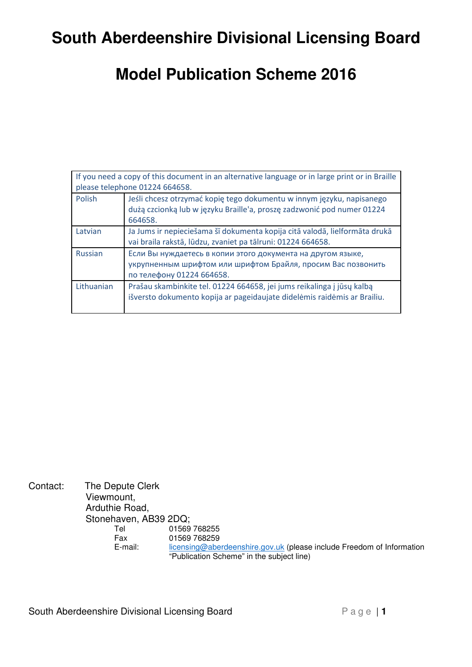# **South Aberdeenshire Divisional Licensing Board**

# **Model Publication Scheme 2016**

| If you need a copy of this document in an alternative language or in large print or in Braille<br>please telephone 01224 664658. |                                                                                                                                                            |  |  |
|----------------------------------------------------------------------------------------------------------------------------------|------------------------------------------------------------------------------------------------------------------------------------------------------------|--|--|
| Polish                                                                                                                           | Jeśli chcesz otrzymać kopię tego dokumentu w innym języku, napisanego<br>dużą czcionką lub w języku Braille'a, proszę zadzwonić pod numer 01224<br>664658. |  |  |
| Latvian                                                                                                                          | Ja Jums ir nepieciešama šī dokumenta kopija citā valodā, lielformāta drukā<br>vai braila rakstā, lūdzu, zvaniet pa tālruni: 01224 664658.                  |  |  |
| <b>Russian</b>                                                                                                                   | Если Вы нуждаетесь в копии этого документа на другом языке,<br>укрупненным шрифтом или шрифтом Брайля, просим Вас позвонить<br>по телефону 01224 664658.   |  |  |
| Lithuanian                                                                                                                       | Prašau skambinkite tel. 01224 664658, jei jums reikalinga į jūsų kalbą<br>išversto dokumento kopija ar pageidaujate didelėmis raidėmis ar Brailiu.         |  |  |

| Contact: | The Depute Clerk      |                                                                       |  |  |
|----------|-----------------------|-----------------------------------------------------------------------|--|--|
|          | Viewmount,            |                                                                       |  |  |
|          | Arduthie Road,        |                                                                       |  |  |
|          | Stonehaven, AB39 2DQ; |                                                                       |  |  |
|          | Tel                   | 01569 768255                                                          |  |  |
|          | Fax                   | 01569 768259                                                          |  |  |
|          | E-mail:               | licensing@aberdeenshire.gov.uk (please include Freedom of Information |  |  |
|          |                       | "Publication Scheme" in the subject line)                             |  |  |

South Aberdeenshire Divisional Licensing Board P a g e | 1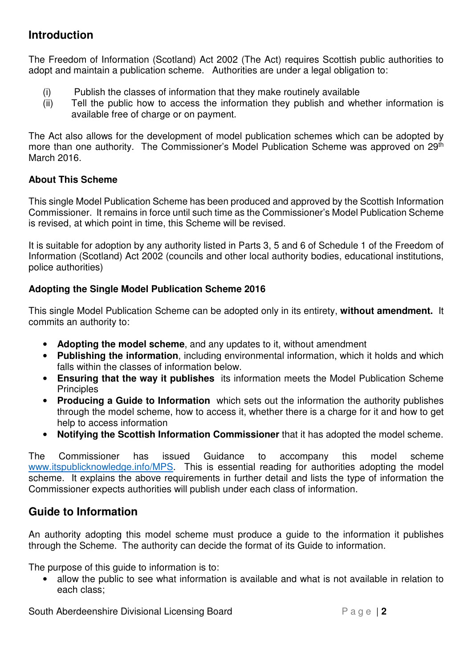#### **Introduction**

The Freedom of Information (Scotland) Act 2002 (The Act) requires Scottish public authorities to adopt and maintain a publication scheme. Authorities are under a legal obligation to:

- (i) Publish the classes of information that they make routinely available
- (ii) Tell the public how to access the information they publish and whether information is available free of charge or on payment.

The Act also allows for the development of model publication schemes which can be adopted by more than one authority. The Commissioner's Model Publication Scheme was approved on 29<sup>th</sup> March 2016.

#### **About This Scheme**

This single Model Publication Scheme has been produced and approved by the Scottish Information Commissioner. It remains in force until such time as the Commissioner's Model Publication Scheme is revised, at which point in time, this Scheme will be revised.

It is suitable for adoption by any authority listed in Parts 3, 5 and 6 of Schedule 1 of the Freedom of Information (Scotland) Act 2002 (councils and other local authority bodies, educational institutions, police authorities)

#### **Adopting the Single Model Publication Scheme 2016**

This single Model Publication Scheme can be adopted only in its entirety, **without amendment.** It commits an authority to:

- **Adopting the model scheme**, and any updates to it, without amendment
- **Publishing the information**, including environmental information, which it holds and which falls within the classes of information below.
- **Ensuring that the way it publishes** its information meets the Model Publication Scheme **Principles**
- **Producing a Guide to Information** which sets out the information the authority publishes through the model scheme, how to access it, whether there is a charge for it and how to get help to access information
- **Notifying the Scottish Information Commissioner** that it has adopted the model scheme.

The Commissioner has issued Guidance to accompany this model scheme www.itspublicknowledge.info/MPS. This is essential reading for authorities adopting the model scheme. It explains the above requirements in further detail and lists the type of information the Commissioner expects authorities will publish under each class of information.

#### **Guide to Information**

An authority adopting this model scheme must produce a guide to the information it publishes through the Scheme. The authority can decide the format of its Guide to information.

The purpose of this guide to information is to:

• allow the public to see what information is available and what is not available in relation to each class;

South Aberdeenshire Divisional Licensing Board P a g e | 2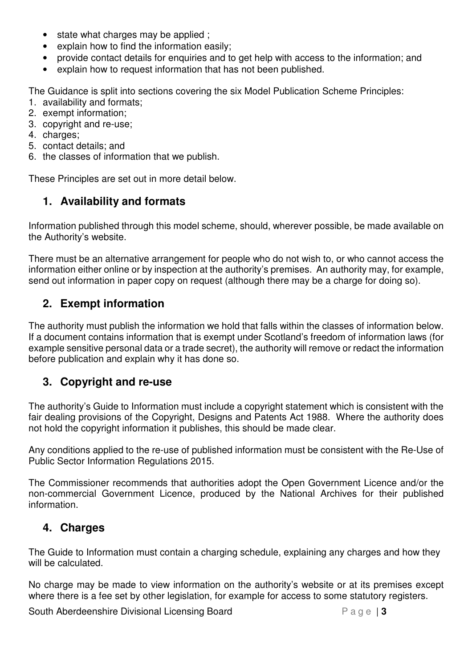- state what charges may be applied ;
- explain how to find the information easily;
- provide contact details for enquiries and to get help with access to the information; and
- explain how to request information that has not been published.

The Guidance is split into sections covering the six Model Publication Scheme Principles:

- 1. availability and formats;
- 2. exempt information;
- 3. copyright and re-use;
- 4. charges;
- 5. contact details; and
- 6. the classes of information that we publish.

These Principles are set out in more detail below.

### **1. Availability and formats**

Information published through this model scheme, should, wherever possible, be made available on the Authority's website.

There must be an alternative arrangement for people who do not wish to, or who cannot access the information either online or by inspection at the authority's premises. An authority may, for example, send out information in paper copy on request (although there may be a charge for doing so).

#### **2. Exempt information**

The authority must publish the information we hold that falls within the classes of information below. If a document contains information that is exempt under Scotland's freedom of information laws (for example sensitive personal data or a trade secret), the authority will remove or redact the information before publication and explain why it has done so.

#### **3. Copyright and re-use**

The authority's Guide to Information must include a copyright statement which is consistent with the fair dealing provisions of the Copyright, Designs and Patents Act 1988. Where the authority does not hold the copyright information it publishes, this should be made clear.

Any conditions applied to the re-use of published information must be consistent with the Re-Use of Public Sector Information Regulations 2015.

The Commissioner recommends that authorities adopt the Open Government Licence and/or the non-commercial Government Licence, produced by the National Archives for their published information.

#### **4. Charges**

The Guide to Information must contain a charging schedule, explaining any charges and how they will be calculated.

No charge may be made to view information on the authority's website or at its premises except where there is a fee set by other legislation, for example for access to some statutory registers.

South Aberdeenshire Divisional Licensing Board P a g e | 3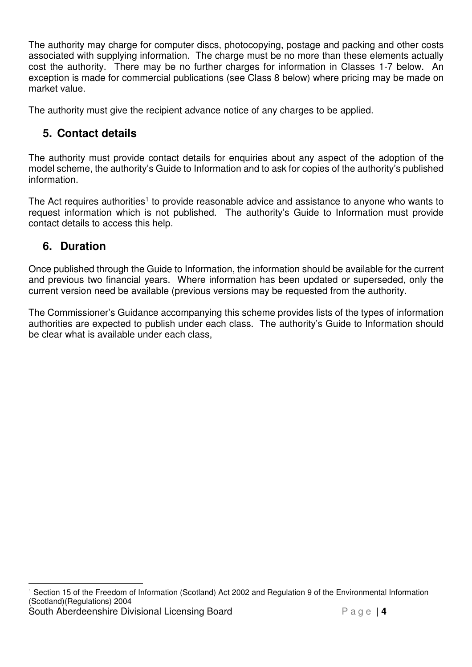The authority may charge for computer discs, photocopying, postage and packing and other costs associated with supplying information. The charge must be no more than these elements actually cost the authority. There may be no further charges for information in Classes 1-7 below. An exception is made for commercial publications (see Class 8 below) where pricing may be made on market value.

The authority must give the recipient advance notice of any charges to be applied.

### **5. Contact details**

The authority must provide contact details for enquiries about any aspect of the adoption of the model scheme, the authority's Guide to Information and to ask for copies of the authority's published information.

The Act requires authorities<sup>1</sup> to provide reasonable advice and assistance to anyone who wants to request information which is not published. The authority's Guide to Information must provide contact details to access this help.

### **6. Duration**

Once published through the Guide to Information, the information should be available for the current and previous two financial years. Where information has been updated or superseded, only the current version need be available (previous versions may be requested from the authority.

The Commissioner's Guidance accompanying this scheme provides lists of the types of information authorities are expected to publish under each class. The authority's Guide to Information should be clear what is available under each class,

South Aberdeenshire Divisional Licensing Board P a g e | 4  $\overline{a}$ 1 Section 15 of the Freedom of Information (Scotland) Act 2002 and Regulation 9 of the Environmental Information (Scotland)(Regulations) 2004